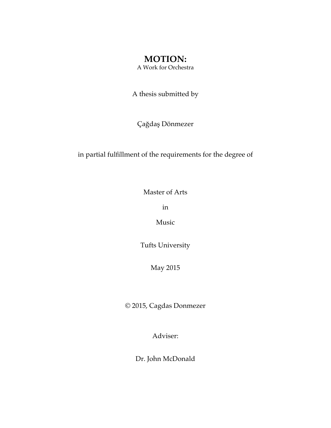# **MOTION:**

A Work for Orchestra

A thesis submitted by

Çağdaş Dönmezer

in partial fulfillment of the requirements for the degree of

Master of Arts

in

Music

Tufts University

May 2015

© 2015, Cagdas Donmezer

Adviser:

Dr. John McDonald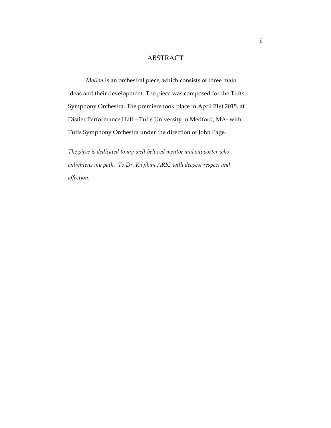# ABSTRACT

*Motion* is an orchestral piece, which consists of three main ideas and their development. The piece was composed for the Tufts Symphony Orchestra. The premiere took place in April 21st 2015, at Distler Performance Hall – Tufts University in Medford, MA- with Tufts Symphony Orchestra under the direction of John Page.

*The piece is dedicated to my well-beloved mentor and supporter who enlightens my path. To Dr. Kayihan ARIC with deepest respect and affection.*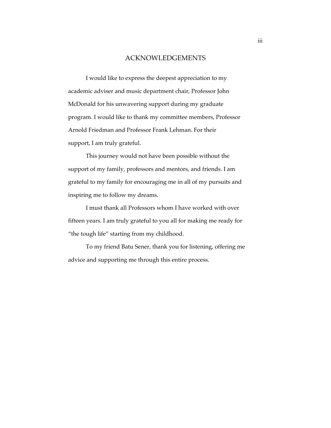# ACKNOWLEDGEMENTS

I would like to express the deepest appreciation to my academic adviser and music department chair, Professor John McDonald for his unwavering support during my graduate program. I would like to thank my committee members, Professor Arnold Friedman and Professor Frank Lehman. For their support, I am truly grateful.

This journey would not have been possible without the support of my family, professors and mentors, and friends. I am grateful to my family for encouraging me in all of my pursuits and inspiring me to follow my dreams.

I must thank all Professors whom I have worked with over fifteen years. I am truly grateful to you all for making me ready for "the tough life" starting from my childhood.

To my friend Batu Sener, thank you for listening, offering me advice and supporting me through this entire process.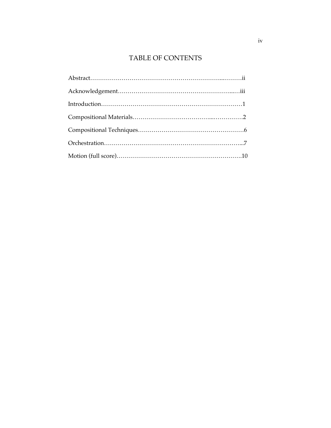# TABLE OF CONTENTS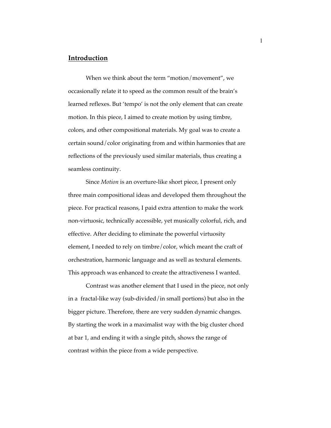# **Introduction**

When we think about the term "motion/movement", we occasionally relate it to speed as the common result of the brain's learned reflexes. But 'tempo' is not the only element that can create motion. In this piece, I aimed to create motion by using timbre, colors, and other compositional materials. My goal was to create a certain sound/color originating from and within harmonies that are reflections of the previously used similar materials, thus creating a seamless continuity.

Since *Motion* is an overture-like short piece, I present only three main compositional ideas and developed them throughout the piece. For practical reasons, I paid extra attention to make the work non-virtuosic, technically accessible, yet musically colorful, rich, and effective. After deciding to eliminate the powerful virtuosity element, I needed to rely on timbre/color, which meant the craft of orchestration, harmonic language and as well as textural elements. This approach was enhanced to create the attractiveness I wanted.

Contrast was another element that I used in the piece, not only in a fractal-like way (sub-divided/in small portions) but also in the bigger picture. Therefore, there are very sudden dynamic changes. By starting the work in a maximalist way with the big cluster chord at bar 1, and ending it with a single pitch, shows the range of contrast within the piece from a wide perspective.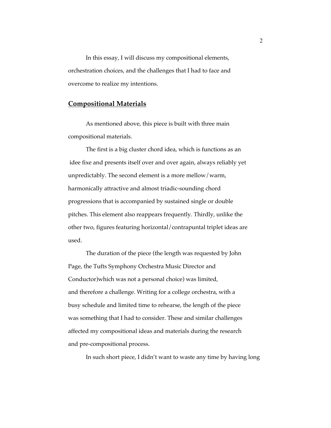In this essay, I will discuss my compositional elements, orchestration choices, and the challenges that I had to face and overcome to realize my intentions.

# **Compositional Materials**

As mentioned above, this piece is built with three main compositional materials.

The first is a big cluster chord idea, which is functions as an idee fixe and presents itself over and over again, always reliably yet unpredictably. The second element is a more mellow/warm, harmonically attractive and almost triadic-sounding chord progressions that is accompanied by sustained single or double pitches. This element also reappears frequently. Thirdly, unlike the other two, figures featuring horizontal/contrapuntal triplet ideas are used.

The duration of the piece (the length was requested by John Page, the Tufts Symphony Orchestra Music Director and Conductor)which was not a personal choice) was limited, and therefore a challenge. Writing for a college orchestra, with a busy schedule and limited time to rehearse, the length of the piece was something that I had to consider. These and similar challenges affected my compositional ideas and materials during the research and pre-compositional process.

In such short piece, I didn't want to waste any time by having long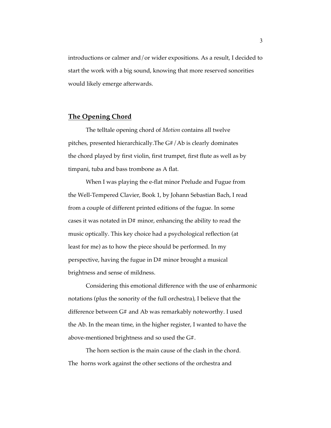introductions or calmer and/or wider expositions. As a result, I decided to start the work with a big sound, knowing that more reserved sonorities would likely emerge afterwards.

### **The Opening Chord**

The telltale opening chord of *Motion* contains all twelve pitches, presented hierarchically.The G#/Ab is clearly dominates the chord played by first violin, first trumpet, first flute as well as by timpani, tuba and bass trombone as A flat.

When I was playing the e-flat minor Prelude and Fugue from the Well-Tempered Clavier, Book 1, by Johann Sebastian Bach, I read from a couple of different printed editions of the fugue. In some cases it was notated in D# minor, enhancing the ability to read the music optically. This key choice had a psychological reflection (at least for me) as to how the piece should be performed. In my perspective, having the fugue in D# minor brought a musical brightness and sense of mildness.

Considering this emotional difference with the use of enharmonic notations (plus the sonority of the full orchestra), I believe that the difference between G# and Ab was remarkably noteworthy. I used the Ab. In the mean time, in the higher register, I wanted to have the above-mentioned brightness and so used the G#.

The horn section is the main cause of the clash in the chord. The horns work against the other sections of the orchestra and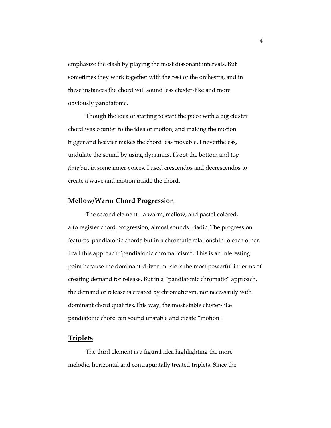emphasize the clash by playing the most dissonant intervals. But sometimes they work together with the rest of the orchestra, and in these instances the chord will sound less cluster-like and more obviously pandiatonic.

Though the idea of starting to start the piece with a big cluster chord was counter to the idea of motion, and making the motion bigger and heavier makes the chord less movable. I nevertheless, undulate the sound by using dynamics. I kept the bottom and top *forte* but in some inner voices, I used crescendos and decrescendos to create a wave and motion inside the chord.

#### **Mellow/Warm Chord Progression**

The second element-- a warm, mellow, and pastel-colored, alto register chord progression, almost sounds triadic. The progression features pandiatonic chords but in a chromatic relationship to each other. I call this approach "pandiatonic chromaticism". This is an interesting point because the dominant-driven music is the most powerful in terms of creating demand for release. But in a "pandiatonic chromatic" approach, the demand of release is created by chromaticism, not necessarily with dominant chord qualities.This way, the most stable cluster-like pandiatonic chord can sound unstable and create "motion".

## **Triplets**

The third element is a figural idea highlighting the more melodic, horizontal and contrapuntally treated triplets. Since the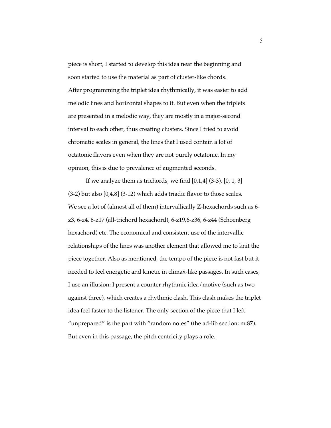piece is short, I started to develop this idea near the beginning and soon started to use the material as part of cluster-like chords. After programming the triplet idea rhythmically, it was easier to add melodic lines and horizontal shapes to it. But even when the triplets are presented in a melodic way, they are mostly in a major-second interval to each other, thus creating clusters. Since I tried to avoid chromatic scales in general, the lines that I used contain a lot of octatonic flavors even when they are not purely octatonic. In my opinion, this is due to prevalence of augmented seconds.

If we analyze them as trichords, we find  $[0,1,4]$   $(3-3)$ ,  $[0, 1, 3]$ (3-2) but also [0,4,8] (3-12) which adds triadic flavor to those scales. We see a lot of (almost all of them) intervallically Z-hexachords such as 6 z3, 6-z4, 6-z17 (all-trichord hexachord), 6-z19,6-z36, 6-z44 (Schoenberg hexachord) etc. The economical and consistent use of the intervallic relationships of the lines was another element that allowed me to knit the piece together. Also as mentioned, the tempo of the piece is not fast but it needed to feel energetic and kinetic in climax-like passages. In such cases, I use an illusion; I present a counter rhythmic idea/motive (such as two against three), which creates a rhythmic clash. This clash makes the triplet idea feel faster to the listener. The only section of the piece that I left "unprepared" is the part with "random notes" (the ad-lib section; m.87). But even in this passage, the pitch centricity plays a role.

5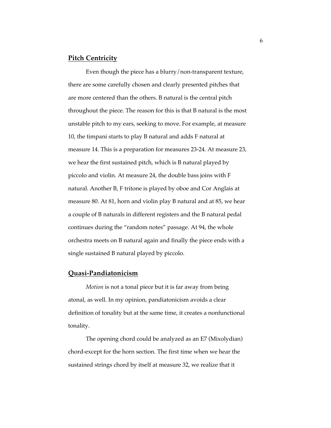#### **Pitch Centricity**

Even though the piece has a blurry/non-transparent texture, there are some carefully chosen and clearly presented pitches that are more centered than the others. B natural is the central pitch throughout the piece. The reason for this is that B natural is the most unstable pitch to my ears, seeking to move. For example, at measure 10, the timpani starts to play B natural and adds F natural at measure 14. This is a preparation for measures 23-24. At measure 23, we hear the first sustained pitch, which is B natural played by piccolo and violin. At measure 24, the double bass joins with F natural. Another B, F tritone is played by oboe and Cor Anglais at measure 80. At 81, horn and violin play B natural and at 85, we hear a couple of B naturals in different registers and the B natural pedal continues during the "random notes" passage. At 94, the whole orchestra meets on B natural again and finally the piece ends with a single sustained B natural played by piccolo.

#### **Quasi-Pandiatonicism**

*Motion* is not a tonal piece but it is far away from being atonal, as well. In my opinion, pandiatonicism avoids a clear definition of tonality but at the same time, it creates a nonfunctional tonality.

The opening chord could be analyzed as an E7 (Mixolydian) chord-except for the horn section. The first time when we hear the sustained strings chord by itself at measure 32, we realize that it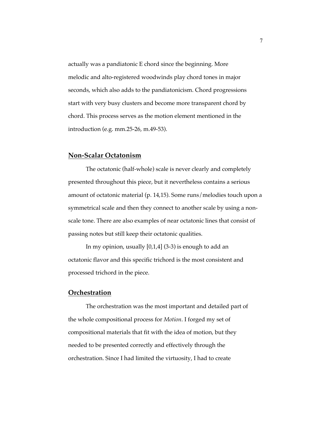actually was a pandiatonic E chord since the beginning. More melodic and alto-registered woodwinds play chord tones in major seconds, which also adds to the pandiatonicism. Chord progressions start with very busy clusters and become more transparent chord by chord. This process serves as the motion element mentioned in the introduction (e.g. mm.25-26, m.49-53).

#### **Non-Scalar Octatonism**

The octatonic (half-whole) scale is never clearly and completely presented throughout this piece, but it nevertheless contains a serious amount of octatonic material (p. 14,15). Some runs/melodies touch upon a symmetrical scale and then they connect to another scale by using a nonscale tone. There are also examples of near octatonic lines that consist of passing notes but still keep their octatonic qualities.

In my opinion, usually  $[0,1,4]$  (3-3) is enough to add an octatonic flavor and this specific trichord is the most consistent and processed trichord in the piece.

## **Orchestration**

The orchestration was the most important and detailed part of the whole compositional process for *Motion*. I forged my set of compositional materials that fit with the idea of motion, but they needed to be presented correctly and effectively through the orchestration. Since I had limited the virtuosity, I had to create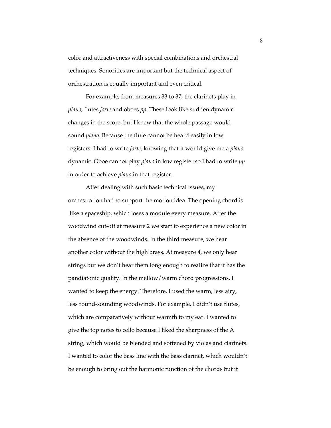color and attractiveness with special combinations and orchestral techniques. Sonorities are important but the technical aspect of orchestration is equally important and even critical.

For example, from measures 33 to 37, the clarinets play in *piano*, flutes *forte* and oboes *pp.* These look like sudden dynamic changes in the score, but I knew that the whole passage would sound *piano.* Because the flute cannot be heard easily in low registers. I had to write *forte,* knowing that it would give me a *piano*  dynamic. Oboe cannot play *piano* in low register so I had to write *pp*  in order to achieve *piano* in that register.

After dealing with such basic technical issues, my orchestration had to support the motion idea. The opening chord is like a spaceship, which loses a module every measure. After the woodwind cut-off at measure 2 we start to experience a new color in the absence of the woodwinds. In the third measure, we hear another color without the high brass. At measure 4, we only hear strings but we don't hear them long enough to realize that it has the pandiatonic quality. In the mellow/warm chord progressions, I wanted to keep the energy. Therefore, I used the warm, less airy, less round-sounding woodwinds. For example, I didn't use flutes, which are comparatively without warmth to my ear. I wanted to give the top notes to cello because I liked the sharpness of the A string, which would be blended and softened by violas and clarinets. I wanted to color the bass line with the bass clarinet, which wouldn't be enough to bring out the harmonic function of the chords but it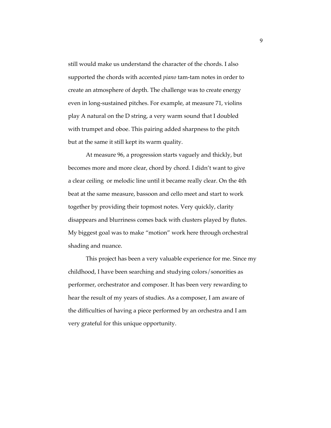still would make us understand the character of the chords. I also supported the chords with accented *piano* tam-tam notes in order to create an atmosphere of depth. The challenge was to create energy even in long-sustained pitches. For example, at measure 71, violins play A natural on the D string, a very warm sound that I doubled with trumpet and oboe. This pairing added sharpness to the pitch but at the same it still kept its warm quality.

At measure 96, a progression starts vaguely and thickly, but becomes more and more clear, chord by chord. I didn't want to give a clear ceiling or melodic line until it became really clear. On the 4th beat at the same measure, bassoon and cello meet and start to work together by providing their topmost notes. Very quickly, clarity disappears and blurriness comes back with clusters played by flutes. My biggest goal was to make "motion" work here through orchestral shading and nuance.

This project has been a very valuable experience for me. Since my childhood, I have been searching and studying colors/sonorities as performer, orchestrator and composer. It has been very rewarding to hear the result of my years of studies. As a composer, I am aware of the difficulties of having a piece performed by an orchestra and I am very grateful for this unique opportunity.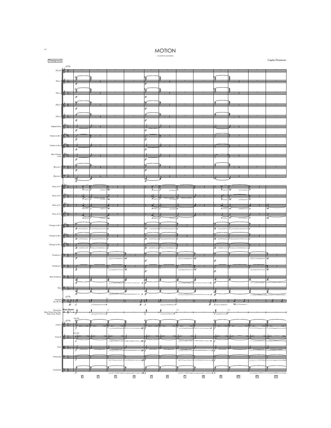## MOTION



1 0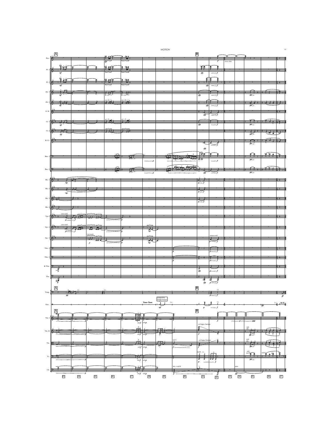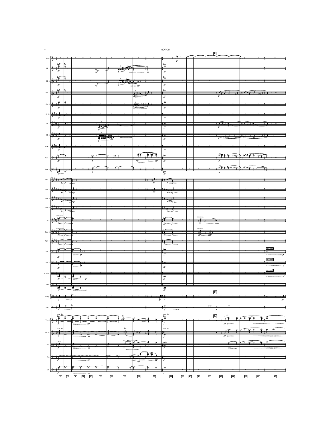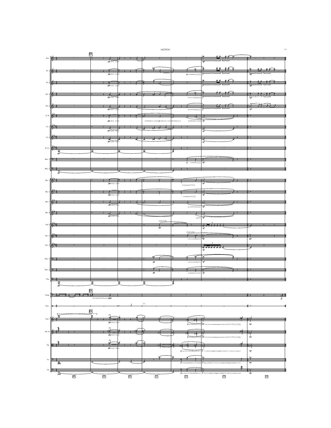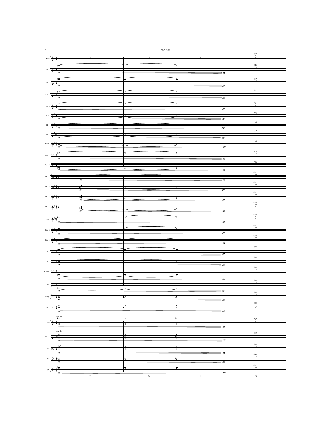|                              |                                                                                                                                                                                                                                                                                                                                                  | <b>MOTION</b> |                                     | $rac{G.P.}{\triangle}$    |
|------------------------------|--------------------------------------------------------------------------------------------------------------------------------------------------------------------------------------------------------------------------------------------------------------------------------------------------------------------------------------------------|---------------|-------------------------------------|---------------------------|
| $\mathop{\text{\rm Picc}}$ . |                                                                                                                                                                                                                                                                                                                                                  |               |                                     |                           |
|                              |                                                                                                                                                                                                                                                                                                                                                  |               |                                     |                           |
|                              | 皙                                                                                                                                                                                                                                                                                                                                                | $\mathbf{F}$  | Ì.                                  | G.P.                      |
| FL 1                         | 61<br>$PP-$                                                                                                                                                                                                                                                                                                                                      |               | $=$ fff                             |                           |
|                              |                                                                                                                                                                                                                                                                                                                                                  |               |                                     |                           |
|                              | $F1.2$ $\frac{4.45}{9}$<br>≝                                                                                                                                                                                                                                                                                                                     |               |                                     | $\frac{G.P.}{\triangle}$  |
|                              | $_{pp}$                                                                                                                                                                                                                                                                                                                                          |               | $=$ fff                             |                           |
|                              |                                                                                                                                                                                                                                                                                                                                                  |               |                                     | $rac{G.P.}{\Omega}$       |
|                              | Ob. 1 $\frac{1}{2}$ $\frac{1}{2}$ $\frac{1}{2}$ $\frac{1}{2}$ $\frac{1}{2}$ $\frac{1}{2}$ $\frac{1}{2}$ $\frac{1}{2}$ $\frac{1}{2}$ $\frac{1}{2}$ $\frac{1}{2}$ $\frac{1}{2}$ $\frac{1}{2}$ $\frac{1}{2}$ $\frac{1}{2}$ $\frac{1}{2}$ $\frac{1}{2}$ $\frac{1}{2}$ $\frac{1}{2}$ $\frac{1}{2}$ $\frac{1}{2}$ $\frac{1$                            |               |                                     |                           |
|                              |                                                                                                                                                                                                                                                                                                                                                  |               | $\frac{1}{2}$                       |                           |
| $\frac{1}{2}$                |                                                                                                                                                                                                                                                                                                                                                  |               |                                     | $rac{G.P.}{\hat{C}}$      |
|                              | $\frac{1}{\frac{1}{1-p}}$                                                                                                                                                                                                                                                                                                                        |               | $\frac{1}{100}$                     |                           |
|                              |                                                                                                                                                                                                                                                                                                                                                  |               |                                     | $\frac{G.P}{\triangle}$   |
|                              | E.H. $\frac{\frac{1}{p} + \frac{1}{p}}{p}$                                                                                                                                                                                                                                                                                                       |               | $\frac{1}{2}$                       |                           |
|                              |                                                                                                                                                                                                                                                                                                                                                  |               |                                     | $\frac{G.P}{\Delta}$      |
|                              | Cl. 1 $\frac{\frac{1}{2} + \frac{1}{2}}{\frac{1}{2} + \frac{1}{2}} \frac{d}{pp}$                                                                                                                                                                                                                                                                 |               | $=$ fff                             |                           |
|                              |                                                                                                                                                                                                                                                                                                                                                  |               |                                     | $\overline{C}$            |
|                              | C1.2                                                                                                                                                                                                                                                                                                                                             |               |                                     |                           |
|                              |                                                                                                                                                                                                                                                                                                                                                  |               | $=$ fff                             | $rac{G.P.}{\triangle}$    |
|                              | B. Cl. $\begin{array}{ c c }\n\hline\n\end{array}$ $\begin{array}{ c c }\n\hline\n\end{array}$ $\begin{array}{ c c }\n\hline\n\end{array}$ $\begin{array}{ c c }\n\hline\n\end{array}$ $\begin{array}{ c c }\n\hline\n\end{array}$ $\begin{array}{ c c }\n\hline\n\end{array}$                                                                   |               |                                     |                           |
|                              |                                                                                                                                                                                                                                                                                                                                                  |               | $=$ fff                             |                           |
|                              |                                                                                                                                                                                                                                                                                                                                                  |               |                                     | $rac{G.P.}{G}$            |
|                              | $\begin{picture}(180,10) \put(0,0){\line(1,0){100}} \put(10,0){\line(1,0){100}} \put(10,0){\line(1,0){100}} \put(10,0){\line(1,0){100}} \put(10,0){\line(1,0){100}} \put(10,0){\line(1,0){100}} \put(10,0){\line(1,0){100}} \put(10,0){\line(1,0){100}} \put(10,0){\line(1,0){100}} \put(10,0){\line(1,0){100}} \put(10,0){\line(1,0){100}}$     |               | $=$ fff                             |                           |
|                              |                                                                                                                                                                                                                                                                                                                                                  |               |                                     | $\frac{G.P.}{G}$          |
|                              |                                                                                                                                                                                                                                                                                                                                                  |               | 戸                                   |                           |
|                              | $\begin{picture}(180,10) \put(0,0){\line(1,0){100}} \put(10,0){\line(1,0){100}} \put(10,0){\line(1,0){100}} \put(10,0){\line(1,0){100}} \put(10,0){\line(1,0){100}} \put(10,0){\line(1,0){100}} \put(10,0){\line(1,0){100}} \put(10,0){\line(1,0){100}} \put(10,0){\line(1,0){100}} \put(10,0){\line(1,0){100}} \put(10,0){\line(1,0){100}}$     |               | $=\textit{fff}$                     | G.P.                      |
|                              | $Hn.1$ $\frac{1}{2}$                                                                                                                                                                                                                                                                                                                             |               |                                     |                           |
|                              | $\equiv$                                                                                                                                                                                                                                                                                                                                         |               | $=$ fff                             |                           |
|                              |                                                                                                                                                                                                                                                                                                                                                  |               |                                     | G.P.                      |
| Hn.2                         | $\frac{1}{pp}$                                                                                                                                                                                                                                                                                                                                   |               | $\overline{t}$                      |                           |
|                              |                                                                                                                                                                                                                                                                                                                                                  |               |                                     | $rac{G.P.}{2}$            |
|                              | $Hn.3$ $647$<br>$\frac{1}{pp}$                                                                                                                                                                                                                                                                                                                   |               | $\frac{1}{2}$                       |                           |
|                              |                                                                                                                                                                                                                                                                                                                                                  |               |                                     | $rac{G.P}{\Omega}$        |
| Hn. $4$                      | $\frac{1}{p}$                                                                                                                                                                                                                                                                                                                                    |               |                                     |                           |
|                              |                                                                                                                                                                                                                                                                                                                                                  |               | $=$ fff                             |                           |
|                              | $\mathrm{Tr} \cdot \mathbb{I}\left\  \begin{array}{c} \mathbb{I} \\ \mathbb{I} \\ \mathbb{I} \end{array} \right\ _{pp}$                                                                                                                                                                                                                          |               |                                     | $rac{G.P.}{\triangle}$    |
|                              |                                                                                                                                                                                                                                                                                                                                                  |               | $\equiv f \theta f$                 |                           |
|                              |                                                                                                                                                                                                                                                                                                                                                  |               |                                     | $rac{G.P}{\triangle}$     |
|                              | $T_{\rm pt, 2}$ $\frac{24.4}{5.74}$                                                                                                                                                                                                                                                                                                              |               | $\frac{1}{2}$                       |                           |
|                              |                                                                                                                                                                                                                                                                                                                                                  |               |                                     | $rac{G.P.}{2}$            |
|                              | Tpt. 3 5 1                                                                                                                                                                                                                                                                                                                                       |               |                                     |                           |
|                              |                                                                                                                                                                                                                                                                                                                                                  |               | $\frac{1}{2}$                       |                           |
|                              |                                                                                                                                                                                                                                                                                                                                                  |               |                                     | $rac{G.P.}{\triangle}$    |
|                              | The $\frac{1}{p}$                                                                                                                                                                                                                                                                                                                                |               | $=$ tff                             |                           |
|                              |                                                                                                                                                                                                                                                                                                                                                  |               |                                     | $rac{G.P.}{\Omega}$       |
|                              | Thu, $2\sqrt{\frac{3}{2}-\frac{4}{4}}$                                                                                                                                                                                                                                                                                                           |               | $\frac{1}{2}$                       |                           |
|                              | $_{\it PP}$                                                                                                                                                                                                                                                                                                                                      |               |                                     | $rac{G.P.}{\triangle}$    |
| B.Tbn.                       | デ 1<br>- 長                                                                                                                                                                                                                                                                                                                                       |               |                                     |                           |
|                              | 룵                                                                                                                                                                                                                                                                                                                                                |               |                                     |                           |
|                              | $PP-$                                                                                                                                                                                                                                                                                                                                            |               | $f\!f\!f$                           | $\rm G.P.$<br>$\sim$      |
|                              | ${\rm Tha.} \begin{picture}(20,5) \put(0,0){\line(1,0){150}} \put(15,0){\line(1,0){150}} \put(15,0){\line(1,0){150}} \put(15,0){\line(1,0){150}} \put(15,0){\line(1,0){150}} \put(15,0){\line(1,0){150}} \put(15,0){\line(1,0){150}} \put(15,0){\line(1,0){150}} \put(15,0){\line(1,0){150}} \put(15,0){\line(1,0){150}} \put(15,0){\line(1,0){$ |               |                                     |                           |
|                              | ₹<br>$PP-$                                                                                                                                                                                                                                                                                                                                       |               | ₹                                   |                           |
|                              |                                                                                                                                                                                                                                                                                                                                                  |               |                                     | $\frac{G.P.}{\triangle}$  |
|                              | Timp. $\frac{1}{2}$ $\frac{1}{4}$<br>Ŧ.<br>$_{PP}$                                                                                                                                                                                                                                                                                               |               | $f\hspace{-0.1cm}f\hspace{-0.1cm}f$ |                           |
|                              |                                                                                                                                                                                                                                                                                                                                                  |               |                                     | $_{\mathrm{G.P.}}$        |
| Perc.                        | $\frac{1}{2}$<br>Ĭ.                                                                                                                                                                                                                                                                                                                              |               | ă.                                  | $_{\rm Lv.}$<br>$\hat{ }$ |
|                              | $\cal PP$                                                                                                                                                                                                                                                                                                                                        |               | $f\hspace{-0.1cm}f\hspace{-0.1cm}f$ |                           |
|                              | $\stackrel{\scriptstyle\text{non div.}}{=}$                                                                                                                                                                                                                                                                                                      |               | 筐                                   |                           |
| $\mbox{V}\mbox{ln}.$ I       | 笪<br>640                                                                                                                                                                                                                                                                                                                                         |               |                                     | $G_{\!\chi}P$             |
|                              | $\tilde{\vec{p}}$                                                                                                                                                                                                                                                                                                                                |               | $f\hspace{-0.1cm}f\hspace{-0.1cm}f$ |                           |
|                              | $\,$ non div.                                                                                                                                                                                                                                                                                                                                    |               |                                     |                           |
| Vln. $\Pi$                   | $+$                                                                                                                                                                                                                                                                                                                                              |               |                                     | $\frac{G.P.}{\triangle}$  |
|                              |                                                                                                                                                                                                                                                                                                                                                  |               | $=$ fff                             |                           |
|                              |                                                                                                                                                                                                                                                                                                                                                  |               |                                     | G.P.                      |
| $_{\rm Vla.}$                | ■ キ                                                                                                                                                                                                                                                                                                                                              |               |                                     |                           |
|                              |                                                                                                                                                                                                                                                                                                                                                  |               | ₩                                   | $_{\mathrm{G.P.}}$        |
| $\rm{Vc.}$                   | , , ,                                                                                                                                                                                                                                                                                                                                            |               |                                     | $\hat{\phantom{a}}$       |
|                              |                                                                                                                                                                                                                                                                                                                                                  |               | $=$ fff                             |                           |
|                              |                                                                                                                                                                                                                                                                                                                                                  |               |                                     | $rac{G.P.}{2}$            |
| Cb.                          | $\cal PP$                                                                                                                                                                                                                                                                                                                                        |               | $=$ fff                             |                           |
|                              | $\overline{\mathfrak{s}}\mathfrak{s}$                                                                                                                                                                                                                                                                                                            | 56            | $\boxed{57}$                        | $\overline{\mathbf{58}}$  |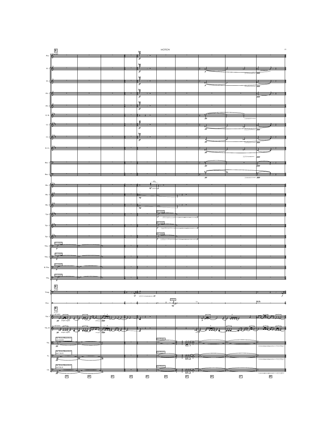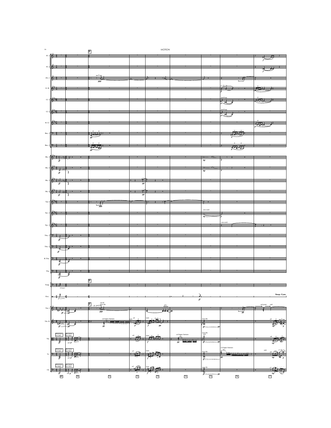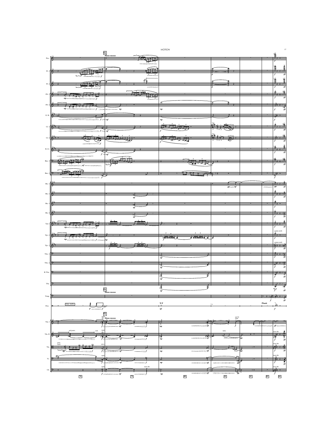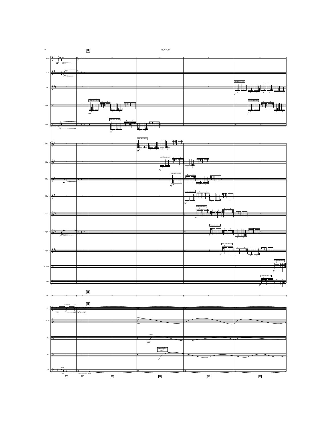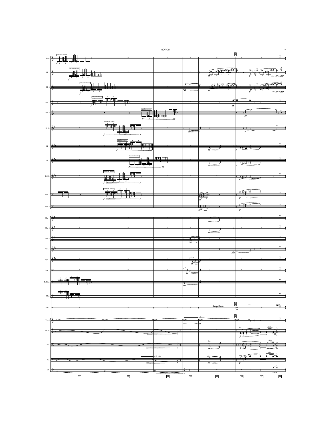|                                                                                                      |                                                                                                                                            |                                           | MOTION      |                         |                         |                                                                                                            |             |                 |
|------------------------------------------------------------------------------------------------------|--------------------------------------------------------------------------------------------------------------------------------------------|-------------------------------------------|-------------|-------------------------|-------------------------|------------------------------------------------------------------------------------------------------------|-------------|-----------------|
|                                                                                                      |                                                                                                                                            |                                           |             |                         | $\blacksquare$          |                                                                                                            |             |                 |
| Picc                                                                                                 |                                                                                                                                            |                                           |             |                         |                         |                                                                                                            |             |                 |
|                                                                                                      |                                                                                                                                            |                                           |             |                         |                         |                                                                                                            |             |                 |
|                                                                                                      |                                                                                                                                            |                                           |             |                         |                         |                                                                                                            |             |                 |
| $\rm{Fl.}$ $1$                                                                                       |                                                                                                                                            |                                           |             |                         |                         |                                                                                                            |             |                 |
|                                                                                                      |                                                                                                                                            |                                           |             |                         |                         |                                                                                                            |             | pp              |
|                                                                                                      |                                                                                                                                            |                                           |             |                         |                         |                                                                                                            |             |                 |
|                                                                                                      | random notes                                                                                                                               |                                           |             |                         |                         |                                                                                                            |             |                 |
| $\rm{Fl.}$ $2$                                                                                       |                                                                                                                                            |                                           |             |                         | كالمواجز                |                                                                                                            |             |                 |
|                                                                                                      |                                                                                                                                            |                                           |             | 冨                       | $_{PP}$                 |                                                                                                            |             | pp > ppi        |
|                                                                                                      |                                                                                                                                            |                                           |             |                         |                         |                                                                                                            |             |                 |
|                                                                                                      | $\begin{array}{ c c }\hline \text{random notes} \\ \hline \textit{s} & \textit{s} \\ \hline \textit{m} & \textit{s} \\ \hline \end{array}$ | पौर्णप                                    |             |                         |                         |                                                                                                            |             |                 |
| Ob.                                                                                                  |                                                                                                                                            | 再取                                        |             |                         |                         |                                                                                                            |             |                 |
|                                                                                                      | $\overline{f}$                                                                                                                             |                                           |             |                         | $\cal PP$               |                                                                                                            |             |                 |
|                                                                                                      |                                                                                                                                            |                                           | <b>TILL</b> |                         |                         |                                                                                                            |             |                 |
| Ob. 2                                                                                                |                                                                                                                                            |                                           |             |                         |                         | $_{PF}$                                                                                                    |             | ╼               |
|                                                                                                      |                                                                                                                                            | $f^5 =$<br>- 5                            | $_{PF}$     |                         |                         |                                                                                                            |             |                 |
|                                                                                                      |                                                                                                                                            | random notes<br>$\frac{5}{5}$             |             |                         |                         |                                                                                                            |             |                 |
| $\mathbf{E}.\,\mathbf{H}.$                                                                           |                                                                                                                                            |                                           |             |                         |                         |                                                                                                            |             |                 |
|                                                                                                      |                                                                                                                                            | ٣U.                                       |             | $\tilde{p}p$ -          |                         | $\boldsymbol{p}$                                                                                           |             |                 |
|                                                                                                      |                                                                                                                                            |                                           |             |                         |                         |                                                                                                            |             |                 |
|                                                                                                      |                                                                                                                                            |                                           |             |                         |                         |                                                                                                            |             |                 |
|                                                                                                      |                                                                                                                                            | $\frac{\text{random notes}}{5}$<br>أأتاأأ |             |                         |                         |                                                                                                            |             |                 |
| ${\rm Cl.}$ 1                                                                                        |                                                                                                                                            | ╤                                         |             |                         |                         |                                                                                                            |             |                 |
|                                                                                                      |                                                                                                                                            |                                           |             |                         | p                       | स्रम                                                                                                       | ₹           |                 |
|                                                                                                      |                                                                                                                                            |                                           |             |                         |                         |                                                                                                            |             |                 |
|                                                                                                      |                                                                                                                                            | random notes                              |             |                         |                         |                                                                                                            |             |                 |
| $\mathop{\rm Cl}\nolimits.2$                                                                         | 6                                                                                                                                          | 毒                                         |             |                         |                         | रुद्धा                                                                                                     |             |                 |
|                                                                                                      |                                                                                                                                            |                                           |             |                         | $_{pp}$                 |                                                                                                            |             |                 |
|                                                                                                      |                                                                                                                                            |                                           | $_{PP}$     |                         |                         |                                                                                                            |             |                 |
|                                                                                                      |                                                                                                                                            |                                           |             |                         |                         |                                                                                                            |             |                 |
| $\,$ B. Cl.                                                                                          |                                                                                                                                            | 曲                                         |             |                         |                         | <b>Taly</b>                                                                                                |             |                 |
|                                                                                                      |                                                                                                                                            |                                           |             |                         |                         | $\overline{p}$                                                                                             |             |                 |
|                                                                                                      |                                                                                                                                            |                                           |             |                         |                         |                                                                                                            |             |                 |
|                                                                                                      |                                                                                                                                            |                                           |             |                         |                         |                                                                                                            |             |                 |
|                                                                                                      |                                                                                                                                            | ŴŤ                                        |             |                         |                         | $\mathbf{F}$                                                                                               |             |                 |
| Bsn                                                                                                  |                                                                                                                                            | []                                        |             |                         | tip                     |                                                                                                            |             |                 |
|                                                                                                      |                                                                                                                                            |                                           |             |                         | pp                      | $\boldsymbol{p}$                                                                                           |             |                 |
|                                                                                                      |                                                                                                                                            |                                           |             |                         |                         |                                                                                                            |             |                 |
|                                                                                                      |                                                                                                                                            |                                           |             |                         | त्य,                    |                                                                                                            |             |                 |
|                                                                                                      |                                                                                                                                            |                                           |             |                         | $_{PF}$                 | $\boldsymbol{p}$                                                                                           |             |                 |
|                                                                                                      |                                                                                                                                            |                                           |             |                         |                         |                                                                                                            |             |                 |
| $\rm Hn.$                                                                                            |                                                                                                                                            |                                           |             |                         |                         |                                                                                                            |             |                 |
|                                                                                                      |                                                                                                                                            |                                           |             |                         |                         |                                                                                                            |             |                 |
| Hn.2                                                                                                 |                                                                                                                                            |                                           |             |                         |                         |                                                                                                            |             |                 |
|                                                                                                      |                                                                                                                                            |                                           |             |                         | $\boldsymbol{p}$        |                                                                                                            |             |                 |
|                                                                                                      |                                                                                                                                            |                                           |             |                         |                         |                                                                                                            |             |                 |
| Hn. $\circ$                                                                                          |                                                                                                                                            |                                           |             | $\frac{1}{\frac{3}{p}}$ |                         |                                                                                                            |             |                 |
|                                                                                                      |                                                                                                                                            |                                           |             | $\geq$                  |                         |                                                                                                            |             |                 |
|                                                                                                      |                                                                                                                                            |                                           |             |                         |                         |                                                                                                            |             |                 |
| Tpt.                                                                                                 |                                                                                                                                            |                                           |             |                         | $\frac{1}{\frac{p}{p}}$ |                                                                                                            |             |                 |
|                                                                                                      |                                                                                                                                            |                                           |             |                         |                         |                                                                                                            |             |                 |
| Tpt. 2                                                                                               |                                                                                                                                            |                                           |             |                         |                         |                                                                                                            |             |                 |
|                                                                                                      |                                                                                                                                            |                                           |             |                         |                         |                                                                                                            |             |                 |
|                                                                                                      |                                                                                                                                            |                                           |             |                         |                         |                                                                                                            |             |                 |
|                                                                                                      |                                                                                                                                            |                                           |             | 妻                       |                         |                                                                                                            |             |                 |
|                                                                                                      |                                                                                                                                            |                                           |             |                         |                         |                                                                                                            |             |                 |
|                                                                                                      |                                                                                                                                            |                                           |             | $\tilde{p}\tilde{p}$    |                         |                                                                                                            |             |                 |
|                                                                                                      |                                                                                                                                            |                                           |             |                         |                         |                                                                                                            |             |                 |
|                                                                                                      | أأتالنا                                                                                                                                    |                                           |             |                         |                         |                                                                                                            |             |                 |
|                                                                                                      | ₩₽                                                                                                                                         |                                           |             |                         |                         |                                                                                                            |             |                 |
|                                                                                                      |                                                                                                                                            |                                           |             |                         |                         |                                                                                                            |             |                 |
|                                                                                                      |                                                                                                                                            |                                           |             |                         |                         |                                                                                                            |             |                 |
| Tba.                                                                                                 | $\hat{\tau}$                                                                                                                               |                                           |             |                         |                         |                                                                                                            |             | $\hat{z}$       |
|                                                                                                      | di alta p                                                                                                                                  |                                           |             |                         |                         |                                                                                                            |             |                 |
|                                                                                                      |                                                                                                                                            |                                           |             |                         |                         |                                                                                                            | $_{\rm 1v}$ |                 |
|                                                                                                      |                                                                                                                                            |                                           |             |                         | Susp. Cym.              |                                                                                                            |             | B.D.            |
|                                                                                                      |                                                                                                                                            |                                           |             |                         |                         | $\begin{array}{c} \boxed{\mathbf{I}} \\ +\mathbf{e}\\ +p\bar{p} \end{array}$                               |             |                 |
|                                                                                                      |                                                                                                                                            |                                           |             |                         | sul tast                |                                                                                                            |             |                 |
| Tbn.<br>B. Tbn.<br>$\ensuremath{\mathop{\text{\rm Perc}}\nolimits}.$<br>$\mathit{V}\!\mathit{ln}.$ I |                                                                                                                                            |                                           |             |                         |                         | $\boxed{\mathbf{I}}$                                                                                       |             |                 |
|                                                                                                      |                                                                                                                                            |                                           |             | dolce                   | <b>PP</b>               |                                                                                                            |             |                 |
|                                                                                                      |                                                                                                                                            |                                           |             |                         |                         | $_{\rm div.}$                                                                                              | tiis        |                 |
| $\mathit{V}\text{ln}.$ II                                                                            |                                                                                                                                            |                                           | F           |                         |                         |                                                                                                            |             |                 |
|                                                                                                      |                                                                                                                                            |                                           |             |                         |                         |                                                                                                            |             | ₹Τ              |
|                                                                                                      |                                                                                                                                            |                                           |             |                         |                         | 甦                                                                                                          |             |                 |
|                                                                                                      |                                                                                                                                            |                                           |             |                         | di                      |                                                                                                            |             |                 |
| $_{\rm Vla}$                                                                                         | 딾                                                                                                                                          |                                           | : دانب      |                         |                         | ⇔۳                                                                                                         |             |                 |
|                                                                                                      |                                                                                                                                            |                                           |             |                         |                         |                                                                                                            |             |                 |
|                                                                                                      |                                                                                                                                            |                                           |             |                         |                         |                                                                                                            |             |                 |
| $\mathrm{Vc.}$                                                                                       | Ŧ                                                                                                                                          |                                           | ul G gliss. |                         |                         |                                                                                                            |             | ¥T≘             |
|                                                                                                      |                                                                                                                                            |                                           | के प        |                         | $_{\it PP}$             | $\begin{array}{c}\n\begin{array}{c}\n\text{unis.} \\ \hline\n\end{array}\n\end{array}$<br>$\boldsymbol{p}$ |             |                 |
|                                                                                                      |                                                                                                                                            |                                           |             |                         |                         |                                                                                                            |             | ظ†ء             |
| ⊙⊾ D                                                                                                 |                                                                                                                                            |                                           |             |                         |                         |                                                                                                            |             |                 |
|                                                                                                      | 91                                                                                                                                         | $\boxed{92}$                              | $93$        | 94                      | 95                      | 96                                                                                                         | 97          | n < I<br>$98\,$ |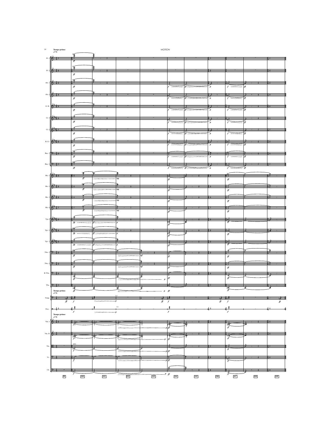